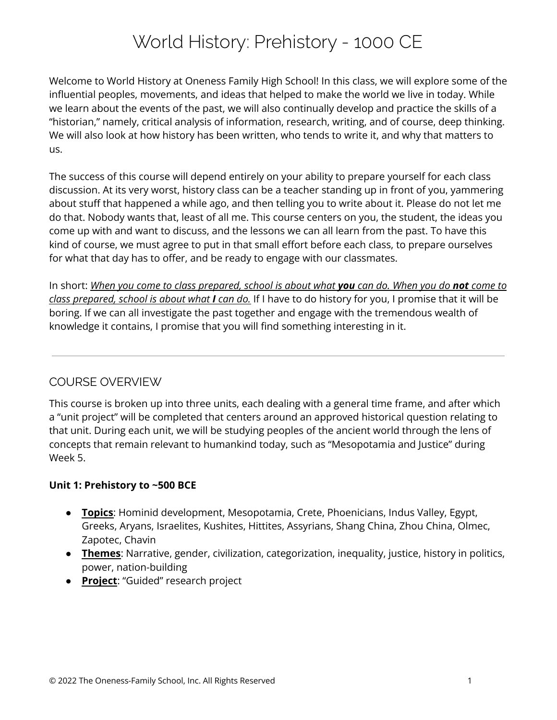# World History: Prehistory - 1000 CE

Welcome to World History at Oneness Family High School! In this class, we will explore some of the influential peoples, movements, and ideas that helped to make the world we live in today. While we learn about the events of the past, we will also continually develop and practice the skills of a "historian," namely, critical analysis of information, research, writing, and of course, deep thinking. We will also look at how history has been written, who tends to write it, and why that matters to us.

The success of this course will depend entirely on your ability to prepare yourself for each class discussion. At its very worst, history class can be a teacher standing up in front of you, yammering about stuff that happened a while ago, and then telling you to write about it. Please do not let me do that. Nobody wants that, least of all me. This course centers on you, the student, the ideas you come up with and want to discuss, and the lessons we can all learn from the past. To have this kind of course, we must agree to put in that small effort before each class, to prepare ourselves for what that day has to offer, and be ready to engage with our classmates.

In short: When you come to class prepared, school is about what you can do. When you do not come to *class prepared, school is about what I can do.* If I have to do history for you, I promise that it will be boring. If we can all investigate the past together and engage with the tremendous wealth of knowledge it contains, I promise that you will find something interesting in it.

## COURSE OVERVIEW

This course is broken up into three units, each dealing with a general time frame, and after which a "unit project" will be completed that centers around an approved historical question relating to that unit. During each unit, we will be studying peoples of the ancient world through the lens of concepts that remain relevant to humankind today, such as "Mesopotamia and Justice" during Week 5.

#### **Unit 1: Prehistory to ~500 BCE**

- **Topics**: Hominid development, Mesopotamia, Crete, Phoenicians, Indus Valley, Egypt, Greeks, Aryans, Israelites, Kushites, Hittites, Assyrians, Shang China, Zhou China, Olmec, Zapotec, Chavin
- **Themes**: Narrative, gender, civilization, categorization, inequality, justice, history in politics, power, nation-building
- **Project**: "Guided" research project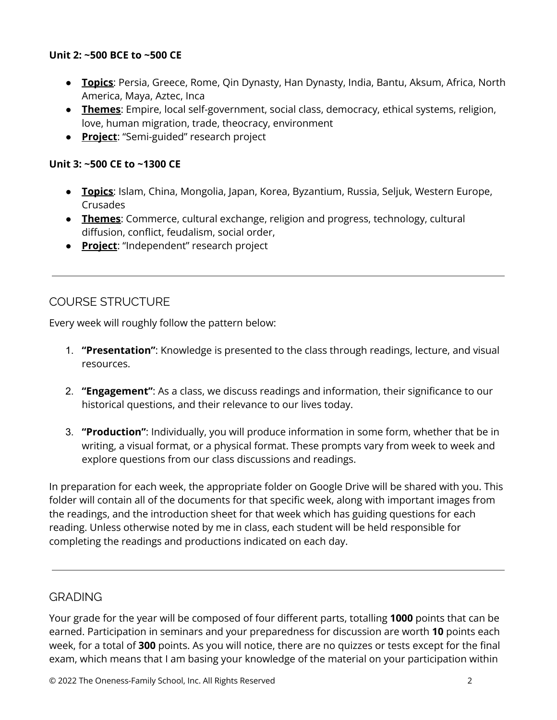#### **Unit 2: ~500 BCE to ~500 CE**

- **Topics**: Persia, Greece, Rome, Qin Dynasty, Han Dynasty, India, Bantu, Aksum, Africa, North America, Maya, Aztec, Inca
- **Themes**: Empire, local self-government, social class, democracy, ethical systems, religion, love, human migration, trade, theocracy, environment
- **Project**: "Semi-guided" research project

#### **Unit 3: ~500 CE to ~1300 CE**

- **Topics**: Islam, China, Mongolia, Japan, Korea, Byzantium, Russia, Seljuk, Western Europe, Crusades
- **Themes**: Commerce, cultural exchange, religion and progress, technology, cultural diffusion, conflict, feudalism, social order,
- **Project**: "Independent" research project

# COURSE STRUCTURE

Every week will roughly follow the pattern below:

- 1. **"Presentation"**: Knowledge is presented to the class through readings, lecture, and visual resources.
- 2. **"Engagement"**: As a class, we discuss readings and information, their significance to our historical questions, and their relevance to our lives today.
- 3. **"Production"**: Individually, you will produce information in some form, whether that be in writing, a visual format, or a physical format. These prompts vary from week to week and explore questions from our class discussions and readings.

In preparation for each week, the appropriate folder on Google Drive will be shared with you. This folder will contain all of the documents for that specific week, along with important images from the readings, and the introduction sheet for that week which has guiding questions for each reading. Unless otherwise noted by me in class, each student will be held responsible for completing the readings and productions indicated on each day.

#### **GRADING**

Your grade for the year will be composed of four different parts, totalling **1000** points that can be earned. Participation in seminars and your preparedness for discussion are worth **10** points each week, for a total of **300** points. As you will notice, there are no quizzes or tests except for the final exam, which means that I am basing your knowledge of the material on your participation within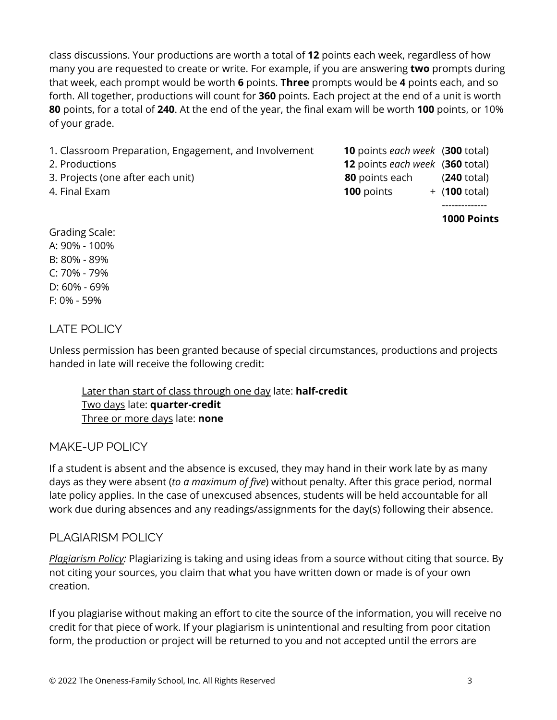class discussions. Your productions are worth a total of **12** points each week, regardless of how many you are requested to create or write. For example, if you are answering **two** prompts during that week, each prompt would be worth **6** points. **Three** prompts would be **4** points each, and so forth. All together, productions will count for **360** points. Each project at the end of a unit is worth **80** points, for a total of **240**. At the end of the year, the final exam will be worth **100** points, or 10% of your grade.

- 1. Classroom Preparation, Engagement, and Involvement **10** points *each week* (**300** total)
- 
- 
- 
- 2. Productions **12** points *each week* (**360** total) 3. Projects (one after each unit) **80** points each (**240** total) 4. Final Exam **100** points + (**100** total)
	-

--------------

**1000 Points**

## Grading Scale: A: 90% - 100% B: 80% - 89% C: 70% - 79% D: 60% - 69% F: 0% - 59%

## LATE POLICY

Unless permission has been granted because of special circumstances, productions and projects handed in late will receive the following credit:

Later than start of class through one day late: **half-credit** Two days late: **quarter-credit** Three or more days late: **none**

## MAKE-UP POLICY

If a student is absent and the absence is excused, they may hand in their work late by as many days as they were absent (*to a maximum of five*) without penalty. After this grace period, normal late policy applies. In the case of unexcused absences, students will be held accountable for all work due during absences and any readings/assignments for the day(s) following their absence.

## PLAGIARISM POLICY

*Plagiarism Policy:* Plagiarizing is taking and using ideas from a source without citing that source. By not citing your sources, you claim that what you have written down or made is of your own creation.

If you plagiarise without making an effort to cite the source of the information, you will receive no credit for that piece of work. If your plagiarism is unintentional and resulting from poor citation form, the production or project will be returned to you and not accepted until the errors are